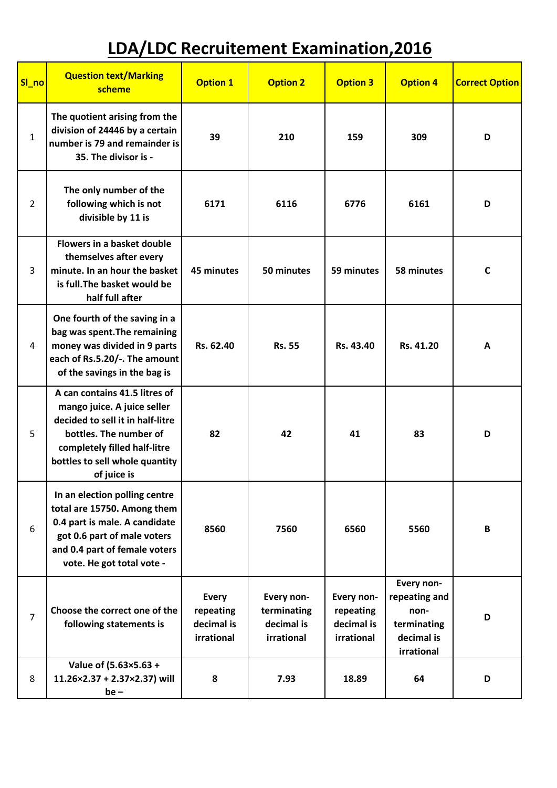## **LDA/LDC Recruitement Examination,2016**

| SI_no          | <b>Question text/Marking</b><br>scheme                                                                                                                                                                      | <b>Option 1</b>                                       | <b>Option 2</b>                                       | <b>Option 3</b>                                     | <b>Option 4</b>                                                                | <b>Correct Option</b> |
|----------------|-------------------------------------------------------------------------------------------------------------------------------------------------------------------------------------------------------------|-------------------------------------------------------|-------------------------------------------------------|-----------------------------------------------------|--------------------------------------------------------------------------------|-----------------------|
| $\mathbf{1}$   | The quotient arising from the<br>division of 24446 by a certain<br>number is 79 and remainder is<br>35. The divisor is -                                                                                    | 39                                                    | 210                                                   | 159                                                 | 309                                                                            | D                     |
| $\overline{2}$ | The only number of the<br>following which is not<br>divisible by 11 is                                                                                                                                      | 6171                                                  | 6116                                                  | 6776                                                | 6161                                                                           | D                     |
| 3              | Flowers in a basket double<br>themselves after every<br>minute. In an hour the basket<br>is full. The basket would be<br>half full after                                                                    | 45 minutes                                            | 50 minutes                                            | 59 minutes                                          | 58 minutes                                                                     | C                     |
| 4              | One fourth of the saving in a<br>bag was spent. The remaining<br>money was divided in 9 parts<br>each of Rs.5.20/-. The amount<br>of the savings in the bag is                                              | Rs. 62.40                                             | <b>Rs. 55</b>                                         | Rs. 43.40                                           | Rs. 41.20                                                                      | A                     |
| 5              | A can contains 41.5 litres of<br>mango juice. A juice seller<br>decided to sell it in half-litre<br>bottles. The number of<br>completely filled half-litre<br>bottles to sell whole quantity<br>of juice is | 82                                                    | 42                                                    | 41                                                  | 83                                                                             | D                     |
| 6              | In an election polling centre<br>total are 15750. Among them<br>0.4 part is male. A candidate<br>got 0.6 part of male voters<br>and 0.4 part of female voters<br>vote. He got total vote -                  | 8560                                                  | 7560                                                  | 6560                                                | 5560                                                                           | B                     |
| $\overline{7}$ | Choose the correct one of the<br>following statements is                                                                                                                                                    | <b>Every</b><br>repeating<br>decimal is<br>irrational | Every non-<br>terminating<br>decimal is<br>irrational | Every non-<br>repeating<br>decimal is<br>irrational | Every non-<br>repeating and<br>non-<br>terminating<br>decimal is<br>irrational | D                     |
| 8              | Value of (5.63×5.63 +<br>$11.26\times2.37 + 2.37\times2.37$ ) will<br>$be -$                                                                                                                                | 8                                                     | 7.93                                                  | 18.89                                               | 64                                                                             | D                     |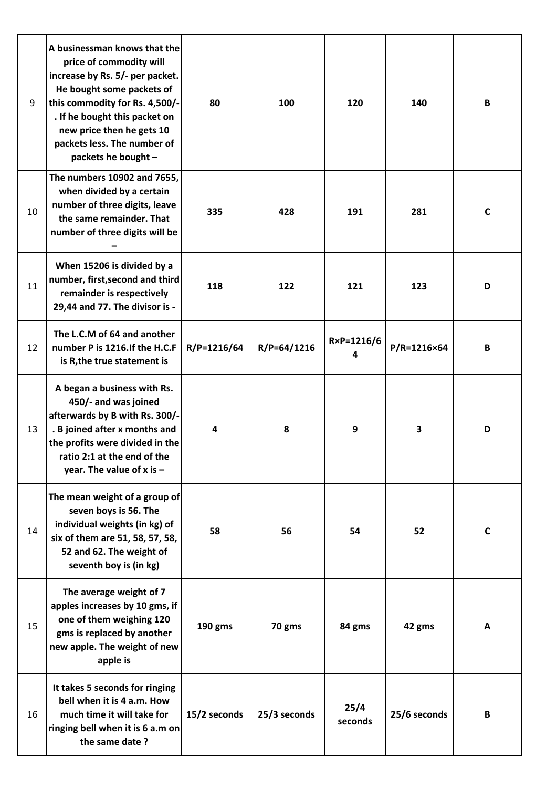| 9  | A businessman knows that the<br>price of commodity will<br>increase by Rs. 5/- per packet.<br>He bought some packets of<br>this commodity for Rs. 4,500/-<br>. If he bought this packet on<br>new price then he gets 10<br>packets less. The number of<br>packets he bought - | 80           | 100             | 120             | 140          | B            |
|----|-------------------------------------------------------------------------------------------------------------------------------------------------------------------------------------------------------------------------------------------------------------------------------|--------------|-----------------|-----------------|--------------|--------------|
| 10 | The numbers 10902 and 7655,<br>when divided by a certain<br>number of three digits, leave<br>the same remainder. That<br>number of three digits will be                                                                                                                       | 335          | 428             | 191             | 281          | $\mathsf{C}$ |
| 11 | When 15206 is divided by a<br>number, first, second and third<br>remainder is respectively<br>29,44 and 77. The divisor is -                                                                                                                                                  | 118          | 122             | 121             | 123          | D            |
| 12 | The L.C.M of 64 and another<br>number P is 1216. If the H.C.F<br>is R, the true statement is                                                                                                                                                                                  | R/P=1216/64  | $R/P = 64/1216$ | R×P=1216/6<br>4 | P/R=1216×64  | B            |
| 13 | A began a business with Rs.<br>450/- and was joined<br>afterwards by B with Rs. 300/-<br>. B joined after x months and<br>the profits were divided in the<br>ratio 2:1 at the end of the<br>year. The value of $x$ is $-$                                                     | 4            | 8               | 9               | 3            | D            |
| 14 | The mean weight of a group of<br>seven boys is 56. The<br>individual weights (in kg) of<br>six of them are 51, 58, 57, 58,<br>52 and 62. The weight of<br>seventh boy is (in kg)                                                                                              | 58           | 56              | 54              | 52           | C            |
| 15 | The average weight of 7<br>apples increases by 10 gms, if<br>one of them weighing 120<br>gms is replaced by another<br>new apple. The weight of new<br>apple is                                                                                                               | 190 gms      | 70 gms          | 84 gms          | 42 gms       | A            |
| 16 | It takes 5 seconds for ringing<br>bell when it is 4 a.m. How<br>much time it will take for<br>ringing bell when it is 6 a.m on<br>the same date?                                                                                                                              | 15/2 seconds | 25/3 seconds    | 25/4<br>seconds | 25/6 seconds | B            |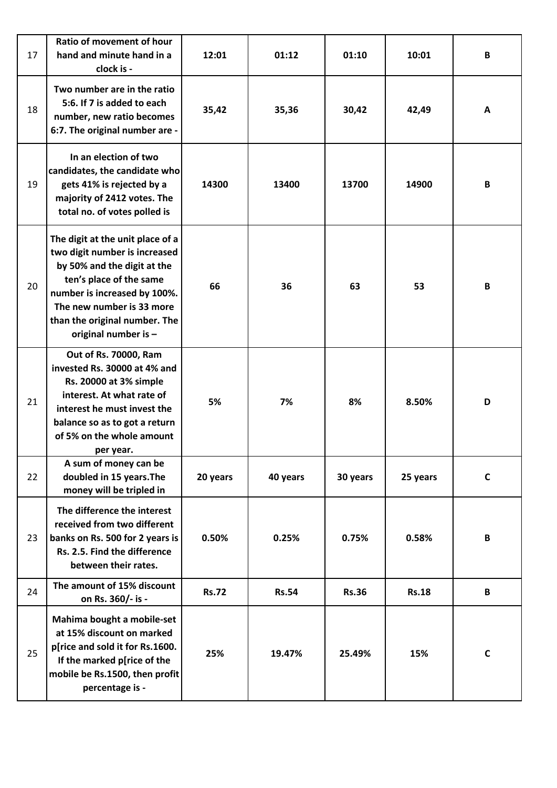| 17 | <b>Ratio of movement of hour</b><br>hand and minute hand in a<br>clock is -                                                                                                                                                                       | 12:01        | 01:12        | 01:10        | 10:01        | B            |
|----|---------------------------------------------------------------------------------------------------------------------------------------------------------------------------------------------------------------------------------------------------|--------------|--------------|--------------|--------------|--------------|
| 18 | Two number are in the ratio<br>5:6. If 7 is added to each<br>number, new ratio becomes<br>6:7. The original number are -                                                                                                                          | 35,42        | 35,36        | 30,42        | 42,49        | A            |
| 19 | In an election of two<br>candidates, the candidate who<br>gets 41% is rejected by a<br>majority of 2412 votes. The<br>total no. of votes polled is                                                                                                | 14300        | 13400        | 13700        | 14900        | B            |
| 20 | The digit at the unit place of a<br>two digit number is increased<br>by 50% and the digit at the<br>ten's place of the same<br>number is increased by 100%.<br>The new number is 33 more<br>than the original number. The<br>original number is - | 66           | 36           | 63           | 53           | B            |
| 21 | Out of Rs. 70000, Ram<br>invested Rs. 30000 at 4% and<br>Rs. 20000 at 3% simple<br>interest. At what rate of<br>interest he must invest the<br>balance so as to got a return<br>of 5% on the whole amount<br>per year.                            | 5%           | 7%           | 8%           | 8.50%        | D            |
| 22 | A sum of money can be<br>doubled in 15 years. The<br>money will be tripled in                                                                                                                                                                     | 20 years     | 40 years     | 30 years     | 25 years     | $\mathsf{C}$ |
| 23 | The difference the interest<br>received from two different<br>banks on Rs. 500 for 2 years is<br>Rs. 2.5. Find the difference<br>between their rates.                                                                                             | 0.50%        | 0.25%        | 0.75%        | 0.58%        | B            |
| 24 | The amount of 15% discount<br>on Rs. 360/- is -                                                                                                                                                                                                   | <b>Rs.72</b> | <b>Rs.54</b> | <b>Rs.36</b> | <b>Rs.18</b> | B            |
| 25 | Mahima bought a mobile-set<br>at 15% discount on marked<br>p[rice and sold it for Rs.1600.<br>If the marked p[rice of the<br>mobile be Rs.1500, then profit<br>percentage is -                                                                    | 25%          | 19.47%       | 25.49%       | 15%          | $\mathbf c$  |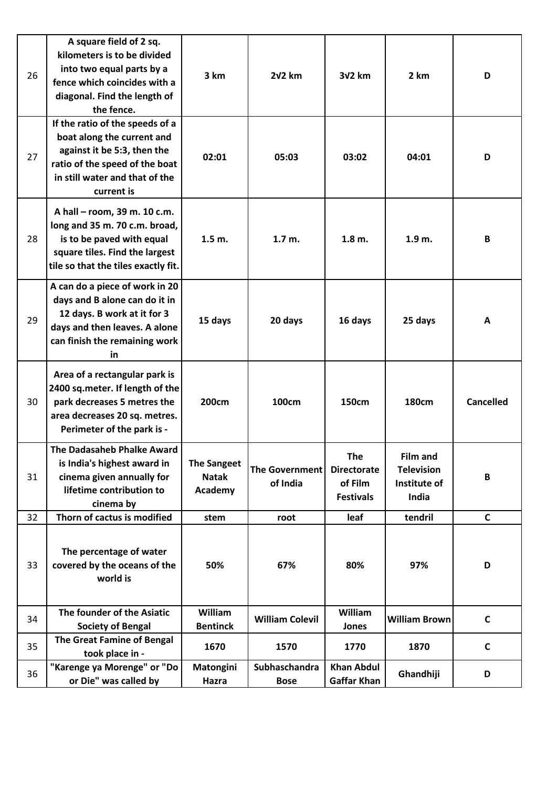| 26       | A square field of 2 sq.<br>kilometers is to be divided<br>into two equal parts by a<br>fence which coincides with a<br>diagonal. Find the length of<br>the fence.              | 3 km                                          | 2 <i>V2</i> km                    | 3V2 km                                                          | 2 km                                                          | D                |
|----------|--------------------------------------------------------------------------------------------------------------------------------------------------------------------------------|-----------------------------------------------|-----------------------------------|-----------------------------------------------------------------|---------------------------------------------------------------|------------------|
| 27       | If the ratio of the speeds of a<br>boat along the current and<br>against it be 5:3, then the<br>ratio of the speed of the boat<br>in still water and that of the<br>current is | 02:01                                         | 05:03                             | 03:02                                                           | 04:01                                                         | D                |
| 28       | A hall - room, 39 m. 10 c.m.<br>long and 35 m. 70 c.m. broad,<br>is to be paved with equal<br>square tiles. Find the largest<br>tile so that the tiles exactly fit.            | $1.5m$ .                                      | 1.7 m.                            | $1.8m$ .                                                        | $1.9m$ .                                                      | В                |
| 29       | A can do a piece of work in 20<br>days and B alone can do it in<br>12 days. B work at it for 3<br>days and then leaves. A alone<br>can finish the remaining work<br>in.        | 15 days                                       | 20 days                           | 16 days                                                         | 25 days                                                       | A                |
| 30       | Area of a rectangular park is<br>2400 sq.meter. If length of the<br>park decreases 5 metres the<br>area decreases 20 sq. metres.<br>Perimeter of the park is -                 | 200 <sub>cm</sub>                             | 100cm                             | <b>150cm</b>                                                    | <b>180cm</b>                                                  | <b>Cancelled</b> |
| 31       | The Dadasaheb Phalke Award<br>is India's highest award in<br>cinema given annually for<br>lifetime contribution to<br>cinema by                                                | <b>The Sangeet</b><br><b>Natak</b><br>Academy | <b>The Government</b><br>of India | <b>The</b><br><b>Directorate</b><br>of Film<br><b>Festivals</b> | <b>Film and</b><br><b>Television</b><br>Institute of<br>India | B                |
| 32<br>33 | Thorn of cactus is modified<br>The percentage of water<br>covered by the oceans of the<br>world is                                                                             | stem<br>50%                                   | root<br>67%                       | leaf<br>80%                                                     | tendril<br>97%                                                | C<br>D           |
| 34       | The founder of the Asiatic<br><b>Society of Bengal</b>                                                                                                                         | William<br><b>Bentinck</b>                    | <b>William Colevil</b>            | William<br>Jones                                                | <b>William Brown</b>                                          | $\mathsf{C}$     |
| 35       | The Great Famine of Bengal<br>took place in -                                                                                                                                  | 1670                                          | 1570                              | 1770                                                            | 1870                                                          | $\mathsf{C}$     |
| 36       | "Karenge ya Morenge" or "Do<br>or Die" was called by                                                                                                                           | Matongini<br>Hazra                            | Subhaschandra<br><b>Bose</b>      | <b>Khan Abdul</b><br><b>Gaffar Khan</b>                         | Ghandhiji                                                     | D                |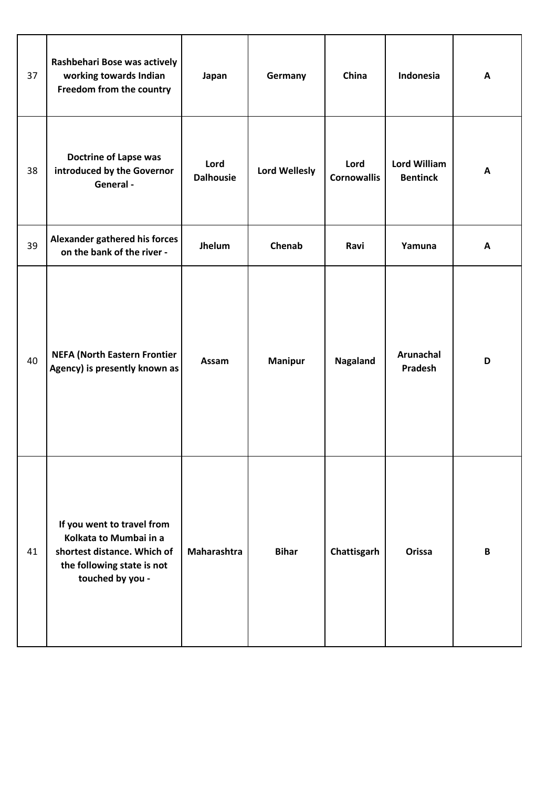| 37 | Rashbehari Bose was actively<br>working towards Indian<br>Freedom from the country                                                    | Japan                    | Germany              | China                      | Indonesia                              | A            |
|----|---------------------------------------------------------------------------------------------------------------------------------------|--------------------------|----------------------|----------------------------|----------------------------------------|--------------|
| 38 | <b>Doctrine of Lapse was</b><br>introduced by the Governor<br>General -                                                               | Lord<br><b>Dalhousie</b> | <b>Lord Wellesly</b> | Lord<br><b>Cornowallis</b> | <b>Lord William</b><br><b>Bentinck</b> | A            |
| 39 | Alexander gathered his forces<br>on the bank of the river -                                                                           | Jhelum                   | Chenab               | Ravi                       | Yamuna                                 | A            |
| 40 | <b>NEFA (North Eastern Frontier</b><br>Agency) is presently known as                                                                  | Assam                    | <b>Manipur</b>       | Nagaland                   | Arunachal<br>Pradesh                   | D            |
| 41 | If you went to travel from<br>Kolkata to Mumbai in a<br>shortest distance. Which of<br>the following state is not<br>touched by you - | Maharashtra              | <b>Bihar</b>         | Chattisgarh                | <b>Orissa</b>                          | $\mathbf{B}$ |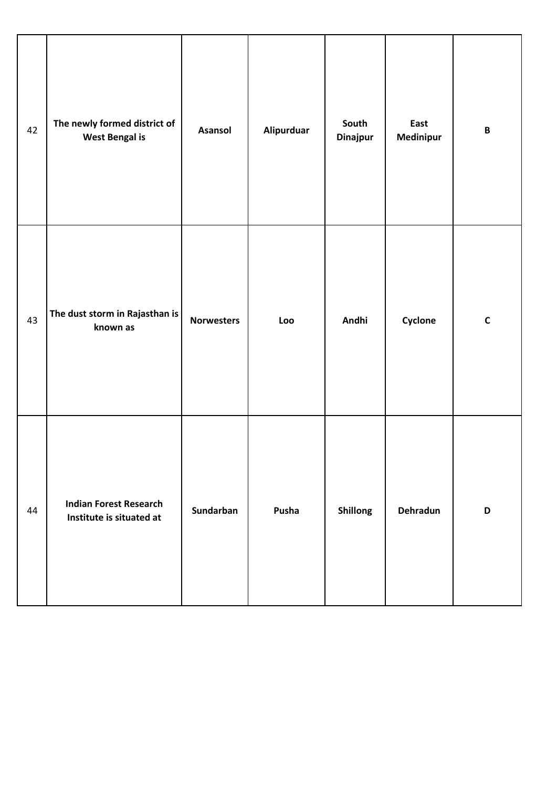| 42 | The newly formed district of<br><b>West Bengal is</b>     | <b>Asansol</b>    | Alipurduar | South<br>Dinajpur | East<br>Medinipur | $\pmb B$     |
|----|-----------------------------------------------------------|-------------------|------------|-------------------|-------------------|--------------|
| 43 | The dust storm in Rajasthan is<br>known as                | <b>Norwesters</b> | Loo        | Andhi             | Cyclone           | $\mathsf{C}$ |
| 44 | <b>Indian Forest Research</b><br>Institute is situated at | Sundarban         | Pusha      | Shillong          | Dehradun          | D            |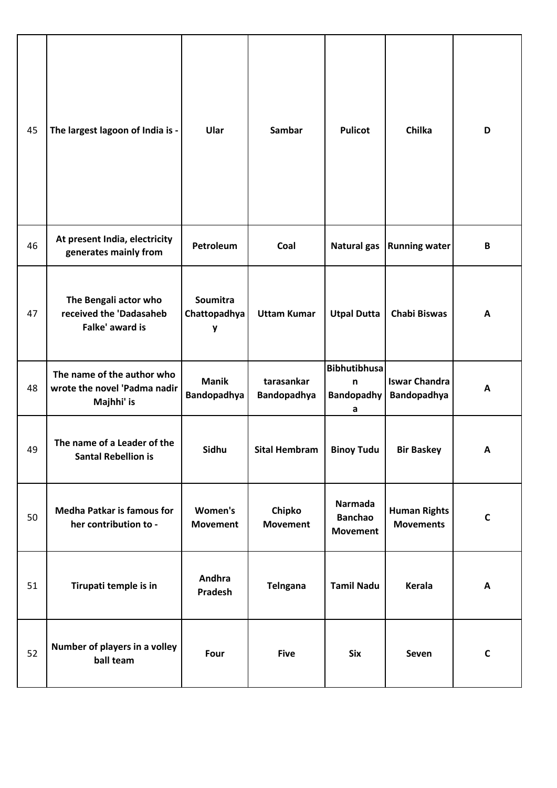| 45 | The largest lagoon of India is -                                         | Ular                                 | <b>Sambar</b>             | <b>Pulicot</b>                                      | Chilka                                  | D            |
|----|--------------------------------------------------------------------------|--------------------------------------|---------------------------|-----------------------------------------------------|-----------------------------------------|--------------|
| 46 | At present India, electricity<br>generates mainly from                   | Petroleum                            | Coal                      | <b>Natural gas</b>                                  | <b>Running water</b>                    | В            |
| 47 | The Bengali actor who<br>received the 'Dadasaheb<br>Falke' award is      | <b>Soumitra</b><br>Chattopadhya<br>y | <b>Uttam Kumar</b>        | <b>Utpal Dutta</b>                                  | <b>Chabi Biswas</b>                     | A            |
| 48 | The name of the author who<br>wrote the novel 'Padma nadir<br>Majhhi' is | <b>Manik</b><br>Bandopadhya          | tarasankar<br>Bandopadhya | <b>Bibhutibhusa</b><br>n.<br><b>Bandopadhy</b><br>a | <b>Iswar Chandra</b><br>Bandopadhya     | A            |
| 49 | The name of a Leader of the<br><b>Santal Rebellion is</b>                | Sidhu                                | <b>Sital Hembram</b>      | <b>Binoy Tudu</b>                                   | <b>Bir Baskey</b>                       | A            |
| 50 | <b>Medha Patkar is famous for</b><br>her contribution to -               | Women's<br><b>Movement</b>           | Chipko<br><b>Movement</b> | Narmada<br><b>Banchao</b><br><b>Movement</b>        | <b>Human Rights</b><br><b>Movements</b> | $\mathsf C$  |
| 51 | Tirupati temple is in                                                    | Andhra<br>Pradesh                    | <b>Telngana</b>           | <b>Tamil Nadu</b>                                   | Kerala                                  | A            |
| 52 | Number of players in a volley<br>ball team                               | Four                                 | <b>Five</b>               | <b>Six</b>                                          | Seven                                   | $\mathsf{C}$ |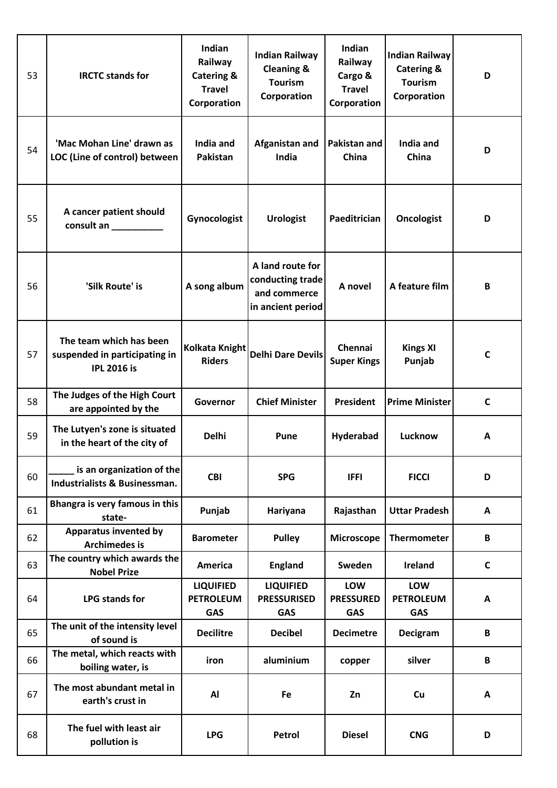| 53 | <b>IRCTC stands for</b>                                                        | <b>Indian</b><br>Railway<br><b>Catering &amp;</b><br><b>Travel</b><br>Corporation | <b>Indian Railway</b><br><b>Cleaning &amp;</b><br><b>Tourism</b><br>Corporation | Indian<br>Railway<br>Cargo &<br><b>Travel</b><br>Corporation | Indian Railway<br><b>Catering &amp;</b><br><b>Tourism</b><br>Corporation | D            |
|----|--------------------------------------------------------------------------------|-----------------------------------------------------------------------------------|---------------------------------------------------------------------------------|--------------------------------------------------------------|--------------------------------------------------------------------------|--------------|
| 54 | 'Mac Mohan Line' drawn as<br>LOC (Line of control) between                     | India and<br>Pakistan                                                             | Afganistan and<br>India                                                         | <b>Pakistan and</b><br>China                                 | India and<br>China                                                       | D            |
| 55 | A cancer patient should<br>consult an ___________                              | Gynocologist                                                                      | <b>Urologist</b>                                                                | Paeditrician                                                 | <b>Oncologist</b>                                                        | D            |
| 56 | 'Silk Route' is                                                                | A song album                                                                      | A land route for<br>conducting trade<br>and commerce<br>in ancient period       | A novel                                                      | A feature film                                                           | B            |
| 57 | The team which has been<br>suspended in participating in<br><b>IPL 2016 is</b> | <b>Kolkata Knight</b><br><b>Riders</b>                                            | <b>Delhi Dare Devils</b>                                                        | Chennai<br><b>Super Kings</b>                                | <b>Kings XI</b><br>Punjab                                                | C            |
| 58 | The Judges of the High Court<br>are appointed by the                           | Governor                                                                          | <b>Chief Minister</b>                                                           | President                                                    | <b>Prime Minister</b>                                                    | $\mathbf c$  |
| 59 | The Lutyen's zone is situated<br>in the heart of the city of                   | <b>Delhi</b>                                                                      | <b>Pune</b>                                                                     | Hyderabad                                                    | Lucknow                                                                  | A            |
| 60 | is an organization of the<br>Industrialists & Businessman.                     | <b>CBI</b>                                                                        | <b>SPG</b>                                                                      | <b>IFFI</b>                                                  | <b>FICCI</b>                                                             | D            |
| 61 | Bhangra is very famous in this<br>state-                                       | Punjab                                                                            | Hariyana                                                                        | Rajasthan                                                    | <b>Uttar Pradesh</b>                                                     | A            |
| 62 | <b>Apparatus invented by</b><br><b>Archimedes is</b>                           | <b>Barometer</b>                                                                  | <b>Pulley</b>                                                                   | <b>Microscope</b>                                            | <b>Thermometer</b>                                                       | $\, {\bf B}$ |
| 63 | The country which awards the<br><b>Nobel Prize</b>                             | America                                                                           | <b>England</b>                                                                  | Sweden                                                       | Ireland                                                                  | $\mathbf c$  |
| 64 | <b>LPG stands for</b>                                                          | <b>LIQUIFIED</b><br><b>PETROLEUM</b><br><b>GAS</b>                                | <b>LIQUIFIED</b><br><b>PRESSURISED</b><br><b>GAS</b>                            | LOW<br><b>PRESSURED</b><br><b>GAS</b>                        | LOW<br><b>PETROLEUM</b><br><b>GAS</b>                                    | A            |
| 65 | The unit of the intensity level<br>of sound is                                 | <b>Decilitre</b>                                                                  | <b>Decibel</b>                                                                  | <b>Decimetre</b>                                             | Decigram                                                                 | B            |
| 66 | The metal, which reacts with<br>boiling water, is                              | iron                                                                              | aluminium                                                                       | copper                                                       | silver                                                                   | $\, {\bf B}$ |
| 67 | The most abundant metal in<br>earth's crust in                                 | Al                                                                                | Fe                                                                              | Zn                                                           | Cu                                                                       | A            |
| 68 | The fuel with least air<br>pollution is                                        | <b>LPG</b>                                                                        | Petrol                                                                          | <b>Diesel</b>                                                | <b>CNG</b>                                                               | D            |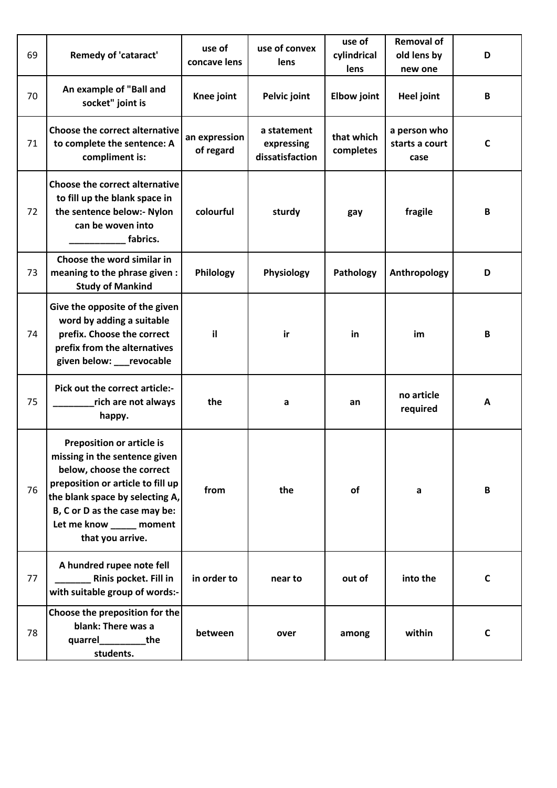| 69 | <b>Remedy of 'cataract'</b>                                                                                                                                                                                                                             | use of<br>concave lens     | use of convex<br>lens                        | use of<br>cylindrical<br>lens | <b>Removal of</b><br>old lens by<br>new one | D            |
|----|---------------------------------------------------------------------------------------------------------------------------------------------------------------------------------------------------------------------------------------------------------|----------------------------|----------------------------------------------|-------------------------------|---------------------------------------------|--------------|
| 70 | An example of "Ball and<br>socket" joint is                                                                                                                                                                                                             | Knee joint                 | Pelvic joint                                 | <b>Elbow joint</b>            | <b>Heel joint</b>                           | B            |
| 71 | <b>Choose the correct alternative</b><br>to complete the sentence: A<br>compliment is:                                                                                                                                                                  | an expression<br>of regard | a statement<br>expressing<br>dissatisfaction | that which<br>completes       | a person who<br>starts a court<br>case      | $\mathsf{C}$ |
| 72 | <b>Choose the correct alternative</b><br>to fill up the blank space in<br>the sentence below:- Nylon<br>can be woven into<br>fabrics.                                                                                                                   | colourful                  | sturdy                                       | gay                           | fragile                                     | В            |
| 73 | Choose the word similar in<br>meaning to the phrase given :<br><b>Study of Mankind</b>                                                                                                                                                                  | Philology                  | Physiology                                   | Pathology                     | Anthropology                                | D            |
| 74 | Give the opposite of the given<br>word by adding a suitable<br>prefix. Choose the correct<br>prefix from the alternatives<br>given below: ___ revocable                                                                                                 | il                         | ir                                           | in                            | im                                          | B            |
| 75 | Pick out the correct article:-<br>rich are not always<br>happy.                                                                                                                                                                                         | the                        | a                                            | an                            | no article<br>required                      | A            |
| 76 | <b>Preposition or article is</b><br>missing in the sentence given<br>below, choose the correct<br>preposition or article to fill up<br>the blank space by selecting A,<br>B, C or D as the case may be:<br>Let me know _____ moment<br>that you arrive. | from                       | the                                          | of                            | a                                           | B            |
| 77 | A hundred rupee note fell<br>Rinis pocket. Fill in<br>with suitable group of words:-                                                                                                                                                                    | in order to                | near to                                      | out of                        | into the                                    | $\mathsf{C}$ |
| 78 | Choose the preposition for the<br>blank: There was a<br>quarrel________<br>the<br>students.                                                                                                                                                             | between                    | over                                         | among                         | within                                      | C            |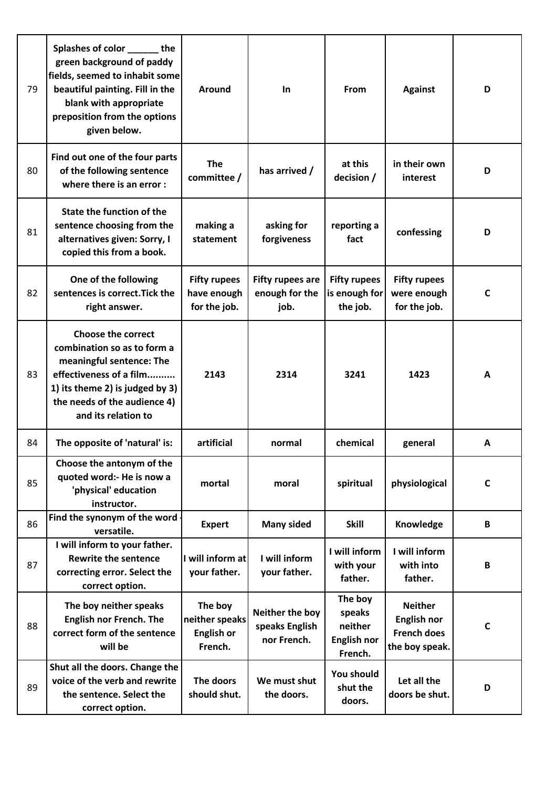| 79 | Splashes of color _______ the<br>green background of paddy<br>fields, seemed to inhabit some<br>beautiful painting. Fill in the<br>blank with appropriate<br>preposition from the options<br>given below. | Around                                                    | <b>In</b>                                         | From                                                          | <b>Against</b>                                                               | D            |
|----|-----------------------------------------------------------------------------------------------------------------------------------------------------------------------------------------------------------|-----------------------------------------------------------|---------------------------------------------------|---------------------------------------------------------------|------------------------------------------------------------------------------|--------------|
| 80 | Find out one of the four parts<br>of the following sentence<br>where there is an error :                                                                                                                  | <b>The</b><br>committee /                                 | has arrived /                                     | at this<br>decision /                                         | in their own<br>interest                                                     | D            |
| 81 | State the function of the<br>sentence choosing from the<br>alternatives given: Sorry, I<br>copied this from a book.                                                                                       | making a<br>statement                                     | asking for<br>forgiveness                         | reporting a<br>fact                                           | confessing                                                                   | D            |
| 82 | One of the following<br>sentences is correct. Tick the<br>right answer.                                                                                                                                   | <b>Fifty rupees</b><br>have enough<br>for the job.        | <b>Fifty rupees are</b><br>enough for the<br>job. | <b>Fifty rupees</b><br>is enough for<br>the job.              | <b>Fifty rupees</b><br>were enough<br>for the job.                           | C            |
| 83 | <b>Choose the correct</b><br>combination so as to form a<br>meaningful sentence: The<br>effectiveness of a film<br>1) its theme 2) is judged by 3)<br>the needs of the audience 4)<br>and its relation to | 2143                                                      | 2314                                              | 3241                                                          | 1423                                                                         | A            |
| 84 | The opposite of 'natural' is:                                                                                                                                                                             | artificial                                                | normal                                            | chemical                                                      | general                                                                      | A            |
| 85 | Choose the antonym of the<br>quoted word:- He is now a<br>'physical' education<br>instructor.                                                                                                             | mortal                                                    | moral                                             | spiritual                                                     | physiological                                                                | $\mathbf c$  |
| 86 | Find the synonym of the word<br>versatile.                                                                                                                                                                | <b>Expert</b>                                             | <b>Many sided</b>                                 | <b>Skill</b>                                                  | Knowledge                                                                    | B            |
| 87 | I will inform to your father.<br><b>Rewrite the sentence</b><br>correcting error. Select the<br>correct option.                                                                                           | I will inform at<br>your father.                          | I will inform<br>your father.                     | I will inform<br>with your<br>father.                         | I will inform<br>with into<br>father.                                        | B            |
| 88 | The boy neither speaks<br><b>English nor French. The</b><br>correct form of the sentence<br>will be                                                                                                       | The boy<br>neither speaks<br><b>English or</b><br>French. | Neither the boy<br>speaks English<br>nor French.  | The boy<br>speaks<br>neither<br><b>English nor</b><br>French. | <b>Neither</b><br><b>English nor</b><br><b>French does</b><br>the boy speak. | $\mathsf{C}$ |
| 89 | Shut all the doors. Change the<br>voice of the verb and rewrite<br>the sentence. Select the<br>correct option.                                                                                            | The doors<br>should shut.                                 | We must shut<br>the doors.                        | You should<br>shut the<br>doors.                              | Let all the<br>doors be shut.                                                | D            |